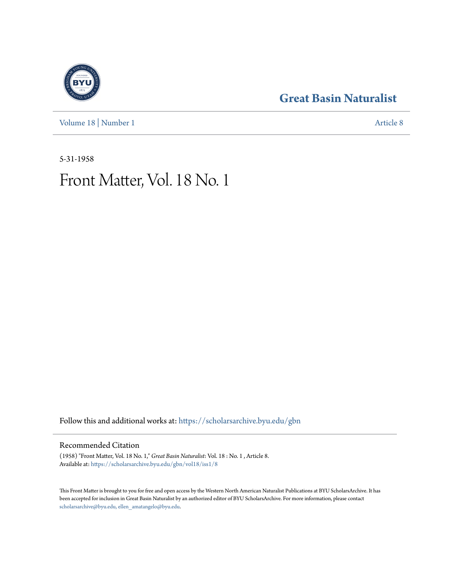### **[Great Basin Naturalist](https://scholarsarchive.byu.edu/gbn?utm_source=scholarsarchive.byu.edu%2Fgbn%2Fvol18%2Fiss1%2F8&utm_medium=PDF&utm_campaign=PDFCoverPages)**

[Volume 18](https://scholarsarchive.byu.edu/gbn/vol18?utm_source=scholarsarchive.byu.edu%2Fgbn%2Fvol18%2Fiss1%2F8&utm_medium=PDF&utm_campaign=PDFCoverPages) | [Number 1](https://scholarsarchive.byu.edu/gbn/vol18/iss1?utm_source=scholarsarchive.byu.edu%2Fgbn%2Fvol18%2Fiss1%2F8&utm_medium=PDF&utm_campaign=PDFCoverPages) [Article 8](https://scholarsarchive.byu.edu/gbn/vol18/iss1/8?utm_source=scholarsarchive.byu.edu%2Fgbn%2Fvol18%2Fiss1%2F8&utm_medium=PDF&utm_campaign=PDFCoverPages)

5-31-1958

## Front Matter, Vol. 18 No. 1

Follow this and additional works at: [https://scholarsarchive.byu.edu/gbn](https://scholarsarchive.byu.edu/gbn?utm_source=scholarsarchive.byu.edu%2Fgbn%2Fvol18%2Fiss1%2F8&utm_medium=PDF&utm_campaign=PDFCoverPages)

#### Recommended Citation

(1958) "Front Matter, Vol. 18 No. 1," *Great Basin Naturalist*: Vol. 18 : No. 1 , Article 8. Available at: [https://scholarsarchive.byu.edu/gbn/vol18/iss1/8](https://scholarsarchive.byu.edu/gbn/vol18/iss1/8?utm_source=scholarsarchive.byu.edu%2Fgbn%2Fvol18%2Fiss1%2F8&utm_medium=PDF&utm_campaign=PDFCoverPages)

This Front Matter is brought to you for free and open access by the Western North American Naturalist Publications at BYU ScholarsArchive. It has been accepted for inclusion in Great Basin Naturalist by an authorized editor of BYU ScholarsArchive. For more information, please contact [scholarsarchive@byu.edu, ellen\\_amatangelo@byu.edu.](mailto:scholarsarchive@byu.edu,%20ellen_amatangelo@byu.edu)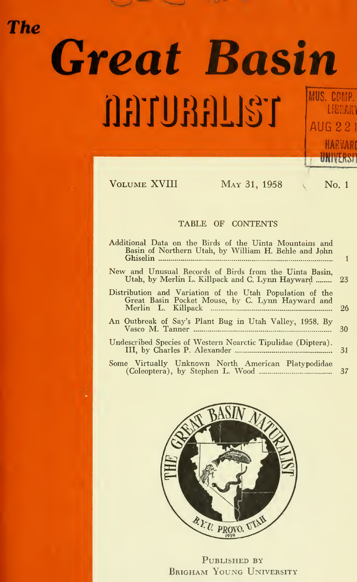# Great Basin **DETURELLST** MUS. COMP. MUS. COI **AUG**

**The** 

| VOLUME XVIII<br>MAY 31, 1958                                                                                    | No. 1 |
|-----------------------------------------------------------------------------------------------------------------|-------|
| TABLE OF CONTENTS                                                                                               |       |
| Additional Data on the Birds of the Uinta Mountains and<br>Basin of Northern Utah, by William H. Behle and John | 1     |
| New and Unusual Records of Birds from the Uinta Basin.<br>Utah, by Merlin L. Killpack and C. Lynn Hayward       | 23    |
| Distribution and Variation of the Utah Population of the<br>Great Basin Pocket Mouse, by C. Lynn Hayward and    | 26    |
| An Outbreak of Say's Plant Bug in Utah Valley, 1958. By                                                         | 30    |
| Undescribed Species of Western Nearctic Tipulidae (Diptera).                                                    | 31    |
| Some Virtually Unknown North American Platypodidae                                                              | 37    |

W



PUBLISHED BY BRIGHAM YOUNG UNIVERSITY